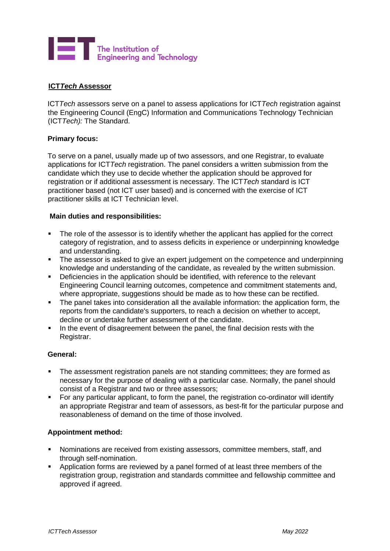

# **ICT***Tech* **Assessor**

ICT*Tech* assessors serve on a panel to assess applications for ICT*Tech* registration against the Engineering Council (EngC) Information and Communications Technology Technician (ICT*Tech):* The Standard.

### **Primary focus:**

To serve on a panel, usually made up of two assessors, and one Registrar, to evaluate applications for ICT*Tech* registration. The panel considers a written submission from the candidate which they use to decide whether the application should be approved for registration or if additional assessment is necessary. The ICT*Tech* standard is ICT practitioner based (not ICT user based) and is concerned with the exercise of ICT practitioner skills at ICT Technician level.

### **Main duties and responsibilities:**

- The role of the assessor is to identify whether the applicant has applied for the correct category of registration, and to assess deficits in experience or underpinning knowledge and understanding.
- **•** The assessor is asked to give an expert judgement on the competence and underpinning knowledge and understanding of the candidate, as revealed by the written submission.
- Deficiencies in the application should be identified, with reference to the relevant Engineering Council learning outcomes, competence and commitment statements and, where appropriate, suggestions should be made as to how these can be rectified.
- The panel takes into consideration all the available information: the application form, the reports from the candidate's supporters, to reach a decision on whether to accept, decline or undertake further assessment of the candidate.
- In the event of disagreement between the panel, the final decision rests with the Registrar.

#### **General:**

- **•** The assessment registration panels are not standing committees; they are formed as necessary for the purpose of dealing with a particular case. Normally, the panel should consist of a Registrar and two or three assessors;
- For any particular applicant, to form the panel, the registration co-ordinator will identify an appropriate Registrar and team of assessors, as best-fit for the particular purpose and reasonableness of demand on the time of those involved.

#### **Appointment method:**

- Nominations are received from existing assessors, committee members, staff, and through self-nomination.
- **EXED** Application forms are reviewed by a panel formed of at least three members of the registration group, registration and standards committee and fellowship committee and approved if agreed.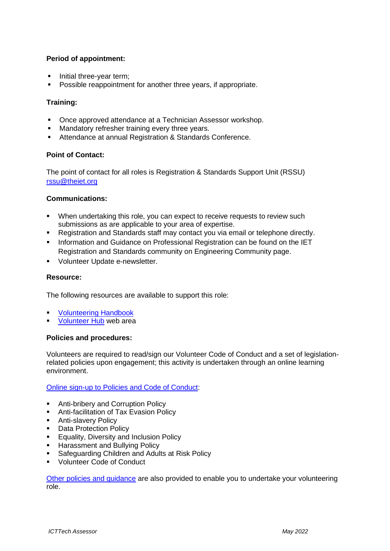# **Period of appointment:**

- Initial three-year term;
- Possible reappointment for another three years, if appropriate.

## **Training:**

- Once approved attendance at a Technician Assessor workshop.
- **■** Mandatory refresher training every three years.
- Attendance at annual Registration & Standards Conference.

## **Point of Contact:**

The point of contact for all roles is Registration & Standards Support Unit (RSSU) rssu@theiet.org

## **Communications:**

- When undertaking this role, you can expect to receive requests to review such submissions as are applicable to your area of expertise.
- Registration and Standards staff may contact you via email or telephone directly.
- **■** Information and Guidance on Professional Registration can be found on the IET Registration and Standards community on Engineering Community page.
- Volunteer Update e-newsletter.

### **Resource:**

The following resources are available to support this role:

- **[Volunteering Handbook](https://www.theiet.org/involved/volunteering-for-the-iet/volunteer-hub/resources/your-guide-to-volunteering-at-the-iet/)**
- [Volunteer Hub](https://www.theiet.org/involved/volunteering-for-the-iet/volunteer-hub) web area

#### **Policies and procedures:**

Volunteers are required to read/sign our Volunteer Code of Conduct and a set of legislationrelated policies upon engagement; this activity is undertaken through an online learning environment.

## [Online sign-up to Policies and Code of Conduct:](https://www.theiet.org/involved/volunteering-for-the-iet/volunteer-hub/online-volunteer-policy-sign-up/)

- Anti-bribery and Corruption Policy
- Anti-facilitation of Tax Evasion Policy
- **■** Anti-slavery Policy
- Data Protection Policy
- **Equality, Diversity and Inclusion Policy**
- **Harassment and Bullying Policy**
- Safeguarding Children and Adults at Risk Policy
- Volunteer Code of Conduct

[Other policies and guidance](https://www.theiet.org/involved/volunteering-for-the-iet/volunteer-hub/our-policies/) are also provided to enable you to undertake your volunteering role.